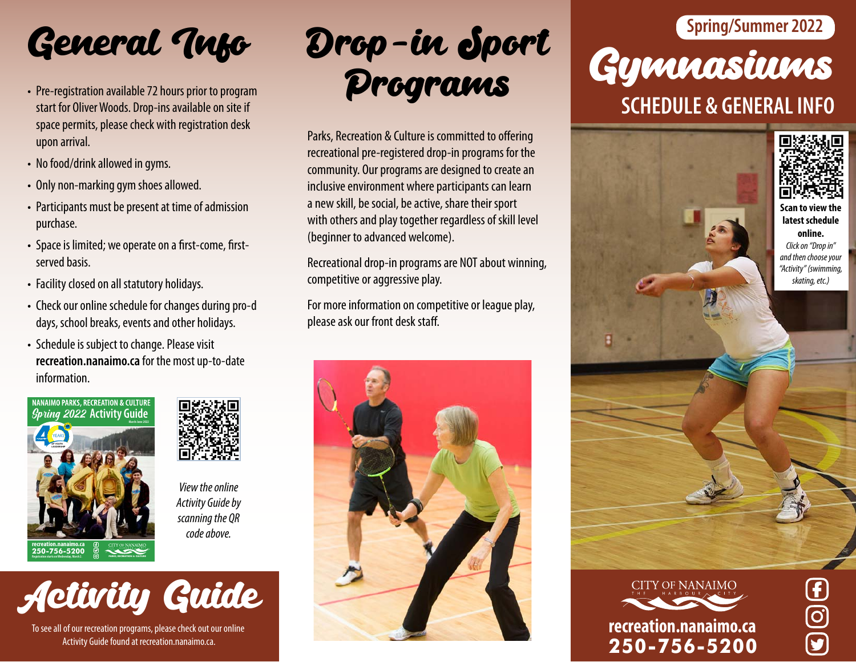

- Pre-registration available 72 hours prior to program start for Oliver Woods. Drop-ins available on site if space permits, please check with registration desk upon arrival.
- No food/drink allowed in gyms.
- Only non-marking gym shoes allowed.
- Participants must be present at time of admission purchase.
- Space is limited; we operate on a first-come, firstserved basis.
- Facility closed on all statutory holidays.
- Check our online schedule for changes during pro-d days, school breaks, events and other holidays.
- Schedule is subject to change. Please visit **recreation.nanaimo.ca** for the mostup-to-date information.





*View the online Activity Guide by scanning the QR code above.*



To see all of our recreation programs, please check out our online Activity Guide found at recreation.nanaimo.ca.

Programs

Parks, Recreation & Culture is committed to offering recreational pre-registered drop-in programs for the community. Our programs are designed to create an inclusive environment where participants can learn a new skill, be social, be active, share their sport with others and play together regardless of skill level (beginner to advanced welcome).

Recreational drop-in programs are NOT about winning, competitive or aggressive play.

For more information on competitive or league play, please ask our front desk staff.



# Gymnasiums **SCHEDULE & GENERAL INFO** General *Tuto* Drop-in Sport Spring/Summer 2022





 $\overline{\mathbf{C}}$ 

**250-756-5200**